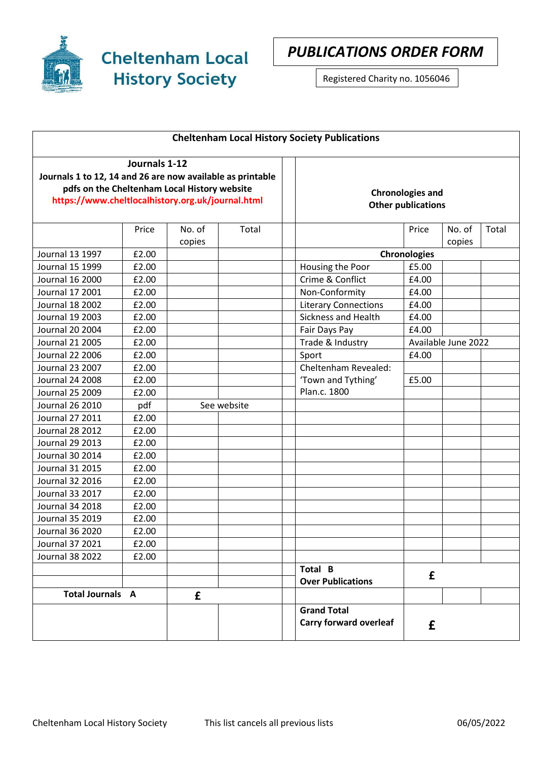

**Cheltenham Local History Society** 

*PUBLICATIONS ORDER FORM*

Registered Charity no. 1056046

| <b>Cheltenham Local History Society Publications</b>                                                                                                                             |       |                  |             |                                                      |              |                     |       |
|----------------------------------------------------------------------------------------------------------------------------------------------------------------------------------|-------|------------------|-------------|------------------------------------------------------|--------------|---------------------|-------|
| Journals 1-12<br>Journals 1 to 12, 14 and 26 are now available as printable<br>pdfs on the Cheltenham Local History website<br>https://www.cheltlocalhistory.org.uk/journal.html |       |                  |             | <b>Chronologies and</b><br><b>Other publications</b> |              |                     |       |
|                                                                                                                                                                                  | Price | No. of<br>copies | Total       |                                                      | Price        | No. of<br>copies    | Total |
| Journal 13 1997                                                                                                                                                                  | £2.00 |                  |             |                                                      | Chronologies |                     |       |
| Journal 15 1999                                                                                                                                                                  | £2.00 |                  |             | Housing the Poor                                     | £5.00        |                     |       |
| Journal 16 2000                                                                                                                                                                  | £2.00 |                  |             | Crime & Conflict                                     | £4.00        |                     |       |
| Journal 17 2001                                                                                                                                                                  | £2.00 |                  |             | Non-Conformity                                       | £4.00        |                     |       |
| <b>Journal 18 2002</b>                                                                                                                                                           | £2.00 |                  |             | <b>Literary Connections</b>                          | £4.00        |                     |       |
| Journal 19 2003                                                                                                                                                                  | £2.00 |                  |             | Sickness and Health                                  | £4.00        |                     |       |
| Journal 20 2004                                                                                                                                                                  | £2.00 |                  |             | Fair Days Pay                                        | £4.00        |                     |       |
| <b>Journal 21 2005</b>                                                                                                                                                           | £2.00 |                  |             | Trade & Industry                                     |              | Available June 2022 |       |
| <b>Journal 22 2006</b>                                                                                                                                                           | £2.00 |                  |             | Sport                                                | £4.00        |                     |       |
| <b>Journal 23 2007</b>                                                                                                                                                           | £2.00 |                  |             | Cheltenham Revealed:                                 |              |                     |       |
| <b>Journal 24 2008</b>                                                                                                                                                           | £2.00 |                  |             | 'Town and Tything'                                   | £5.00        |                     |       |
| Journal 25 2009                                                                                                                                                                  | £2.00 |                  |             | Plan.c. 1800                                         |              |                     |       |
| Journal 26 2010                                                                                                                                                                  | pdf   |                  | See website |                                                      |              |                     |       |
| Journal 27 2011                                                                                                                                                                  | £2.00 |                  |             |                                                      |              |                     |       |
| <b>Journal 28 2012</b>                                                                                                                                                           | £2.00 |                  |             |                                                      |              |                     |       |
| <b>Journal 29 2013</b>                                                                                                                                                           | £2.00 |                  |             |                                                      |              |                     |       |
| Journal 30 2014                                                                                                                                                                  | £2.00 |                  |             |                                                      |              |                     |       |
| Journal 31 2015                                                                                                                                                                  | £2.00 |                  |             |                                                      |              |                     |       |
| Journal 32 2016                                                                                                                                                                  | £2.00 |                  |             |                                                      |              |                     |       |
| Journal 33 2017                                                                                                                                                                  | £2.00 |                  |             |                                                      |              |                     |       |
| Journal 34 2018                                                                                                                                                                  | £2.00 |                  |             |                                                      |              |                     |       |
| <b>Journal 35 2019</b>                                                                                                                                                           | £2.00 |                  |             |                                                      |              |                     |       |
| Journal 36 2020                                                                                                                                                                  | £2.00 |                  |             |                                                      |              |                     |       |
| Journal 37 2021                                                                                                                                                                  | £2.00 |                  |             |                                                      |              |                     |       |
| <b>Journal 38 2022</b>                                                                                                                                                           | £2.00 |                  |             |                                                      |              |                     |       |
|                                                                                                                                                                                  |       |                  |             | Total B<br><b>Over Publications</b>                  | £            |                     |       |
| <b>Total Journals A</b>                                                                                                                                                          |       | £                |             |                                                      |              |                     |       |
|                                                                                                                                                                                  |       |                  |             | <b>Grand Total</b><br><b>Carry forward overleaf</b>  | £            |                     |       |